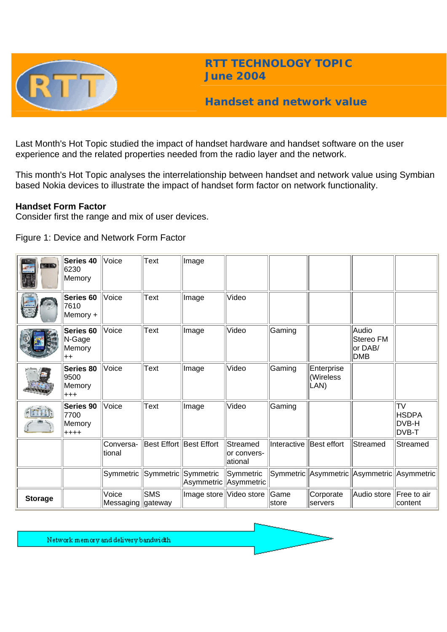

**RTT TECHNOLOGY TOPIC June 2004**

# **Handset and network value**

Last Month's Hot Topic studied the impact of handset hardware and handset software on the user experience and the related properties needed from the radio layer and the network.

This month's Hot Topic analyses the interrelationship between handset and network value using Symbian based Nokia devices to illustrate the impact of handset form factor on network functionality.

### **Handset Form Factor**

Consider first the range and mix of user devices.

Figure 1: Device and Network Form Factor

| <b>34.00</b><br><b>SPAIL</b> | Series 40<br>6230<br>Memory             | Voice                        | <b>Text</b>             | Image                   |                                     |                |                                            |                                             |                                             |
|------------------------------|-----------------------------------------|------------------------------|-------------------------|-------------------------|-------------------------------------|----------------|--------------------------------------------|---------------------------------------------|---------------------------------------------|
|                              | Series 60<br>7610<br>Memory +           | Voice                        | <b>Text</b>             | Image                   | Video                               |                |                                            |                                             |                                             |
|                              | Series 60<br>N-Gage<br>Memory<br>$++$   | Voice                        | Text                    | Image                   | Video                               | Gaming         |                                            | Audio<br>Stereo FM<br>or DAB/<br><b>DMB</b> |                                             |
|                              | Series 80<br>9500<br>Memory<br>$^{+++}$ | Voice                        | Text                    | Image                   | Video                               | Gaming         | Enterprise<br>(Wireless<br>LAN)            |                                             |                                             |
|                              | Series 90<br>7700<br>Memory<br>$++++$   | Voice                        | <b>Text</b>             | Image                   | Video                               | Gaming         |                                            |                                             | <b>TV</b><br><b>HSDPA</b><br>DVB-H<br>DVB-T |
|                              |                                         | Conversa-<br>ltional         | Best Effort Best Effort |                         | Streamed<br>lor convers-<br>ational | Interactive    | Best effort                                | Streamed                                    | Streamed                                    |
|                              |                                         | Symmetric                    | $ \mathsf{Symmetric} $  | Symmetric               | Symmetric<br>Asymmetric Asymmetric  |                | Symmetric Asymmetric Asymmetric Asymmetric |                                             |                                             |
| <b>Storage</b>               |                                         | Voice<br>Messaging   gateway | <b>SMS</b>              | Image store Video store |                                     | Game<br> store | Corporate<br><b>Servers</b>                | Audio store                                 | Free to air<br>content                      |

Network memory and delivery bandwidth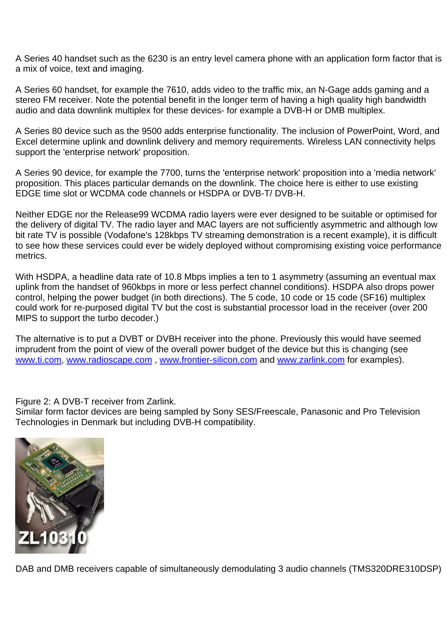A Series 40 handset such as the 6230 is an entry level camera phone with an application form factor that is a mix of voice, text and imaging.

A Series 60 handset, for example the 7610, adds video to the traffic mix, an N-Gage adds gaming and a stereo FM receiver. Note the potential benefit in the longer term of having a high quality high bandwidth audio and data downlink multiplex for these devices- for example a DVB-H or DMB multiplex.

A Series 80 device such as the 9500 adds enterprise functionality. The inclusion of PowerPoint, Word, and Excel determine uplink and downlink delivery and memory requirements. Wireless LAN connectivity helps support the 'enterprise network' proposition.

A Series 90 device, for example the 7700, turns the 'enterprise network' proposition into a 'media network' proposition. This places particular demands on the downlink. The choice here is either to use existing EDGE time slot or WCDMA code channels or HSDPA or DVB-T/ DVB-H.

Neither EDGE nor the Release99 WCDMA radio layers were ever designed to be suitable or optimised for the delivery of digital TV. The radio layer and MAC layers are not sufficiently asymmetric and although low bit rate TV is possible (Vodafone's 128kbps TV streaming demonstration is a recent example), it is difficult to see how these services could ever be widely deployed without compromising existing voice performance metrics.

With HSDPA, a headline data rate of 10.8 Mbps implies a ten to 1 asymmetry (assuming an eventual max uplink from the handset of 960kbps in more or less perfect channel conditions). HSDPA also drops power control, helping the power budget (in both directions). The 5 code, 10 code or 15 code (SF16) multiplex could work for re-purposed digital TV but the cost is substantial processor load in the receiver (over 200 MIPS to support the turbo decoder.)

The alternative is to put a DVBT or DVBH receiver into the phone. Previously this would have seemed imprudent from the point of view of the overall power budget of the device but this is changing (see [www.ti.com](http://www.ti.com/), [www.radioscape.com](http://www.radioscape.com/) , [www.frontier-silicon.com](http://www.frontier-silicon.com/) and [www.zarlink.com](http://www.zarlink.com/) for examples).

Figure 2: A DVB-T receiver from Zarlink.

Similar form factor devices are being sampled by Sony SES/Freescale, Panasonic and Pro Television Technologies in Denmark but including DVB-H compatibility.



DAB and DMB receivers capable of simultaneously demodulating 3 audio channels (TMS320DRE310DSP)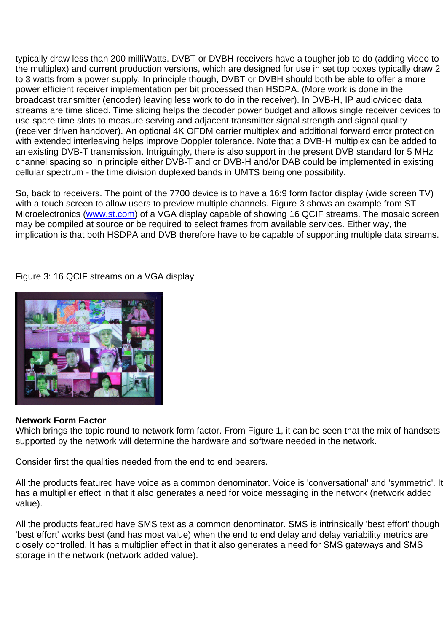typically draw less than 200 milliWatts. DVBT or DVBH receivers have a tougher job to do (adding video to the multiplex) and current production versions, which are designed for use in set top boxes typically draw 2 to 3 watts from a power supply. In principle though, DVBT or DVBH should both be able to offer a more power efficient receiver implementation per bit processed than HSDPA. (More work is done in the broadcast transmitter (encoder) leaving less work to do in the receiver). In DVB-H, IP audio/video data streams are time sliced. Time slicing helps the decoder power budget and allows single receiver devices to use spare time slots to measure serving and adjacent transmitter signal strength and signal quality (receiver driven handover). An optional 4K OFDM carrier multiplex and additional forward error protection with extended interleaving helps improve Doppler tolerance. Note that a DVB-H multiplex can be added to an existing DVB-T transmission. Intriguingly, there is also support in the present DVB standard for 5 MHz channel spacing so in principle either DVB-T and or DVB-H and/or DAB could be implemented in existing cellular spectrum - the time division duplexed bands in UMTS being one possibility.

So, back to receivers. The point of the 7700 device is to have a 16:9 form factor display (wide screen TV) with a touch screen to allow users to preview multiple channels. Figure 3 shows an example from ST Microelectronics ([www.st.com](http://www.st.com/)) of a VGA display capable of showing 16 QCIF streams. The mosaic screen may be compiled at source or be required to select frames from available services. Either way, the implication is that both HSDPA and DVB therefore have to be capable of supporting multiple data streams.

Figure 3: 16 QCIF streams on a VGA display



## **Network Form Factor**

Which brings the topic round to network form factor. From Figure 1, it can be seen that the mix of handsets supported by the network will determine the hardware and software needed in the network.

Consider first the qualities needed from the end to end bearers.

All the products featured have voice as a common denominator. Voice is 'conversational' and 'symmetric'. It has a multiplier effect in that it also generates a need for voice messaging in the network (network added value).

All the products featured have SMS text as a common denominator. SMS is intrinsically 'best effort' though 'best effort' works best (and has most value) when the end to end delay and delay variability metrics are closely controlled. It has a multiplier effect in that it also generates a need for SMS gateways and SMS storage in the network (network added value).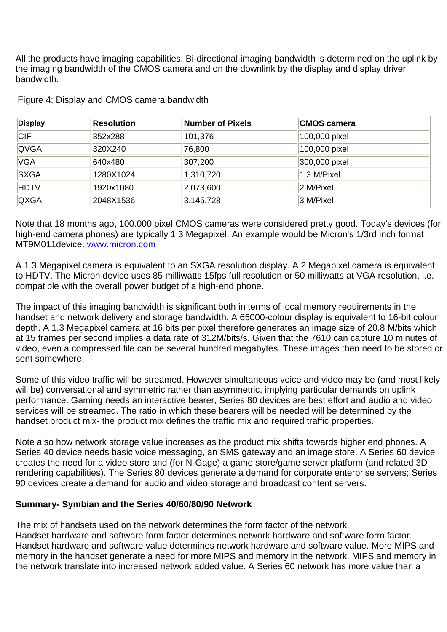All the products have imaging capabilities. Bi-directional imaging bandwidth is determined on the uplink by the imaging bandwidth of the CMOS camera and on the downlink by the display and display driver bandwidth.

| <b>Display</b> | <b>Resolution</b> | Number of Pixels | <b>CMOS camera</b> |
|----------------|-------------------|------------------|--------------------|
| <b>CIF</b>     | 352x288           | 101,376          | 100,000 pixel      |
| <b>QVGA</b>    | 320X240           | 76,800           | 100,000 pixel      |
| <b>VGA</b>     | 640x480           | 307,200          | 300,000 pixel      |
| <b>SXGA</b>    | 1280X1024         | 1,310,720        | 1.3 M/Pixel        |
| <b>HDTV</b>    | 1920x1080         | 2,073,600        | 2 M/Pixel          |
| <b>QXGA</b>    | 2048X1536         | 3, 145, 728      | 3 M/Pixel          |

Figure 4: Display and CMOS camera bandwidth

Note that 18 months ago, 100.000 pixel CMOS cameras were considered pretty good. Today's devices (for high-end camera phones) are typically 1.3 Megapixel. An example would be Micron's 1/3rd inch format MT9M011device. [www.micron.com](http://www.micron.com/)

A 1.3 Megapixel camera is equivalent to an SXGA resolution display. A 2 Megapixel camera is equivalent to HDTV. The Micron device uses 85 milliwatts 15fps full resolution or 50 milliwatts at VGA resolution, i.e. compatible with the overall power budget of a high-end phone.

The impact of this imaging bandwidth is significant both in terms of local memory requirements in the handset and network delivery and storage bandwidth. A 65000-colour display is equivalent to 16-bit colour depth. A 1.3 Megapixel camera at 16 bits per pixel therefore generates an image size of 20.8 M/bits which at 15 frames per second implies a data rate of 312M/bits/s. Given that the 7610 can capture 10 minutes of video, even a compressed file can be several hundred megabytes. These images then need to be stored or sent somewhere.

Some of this video traffic will be streamed. However simultaneous voice and video may be (and most likely will be) conversational and symmetric rather than asymmetric, implying particular demands on uplink performance. Gaming needs an interactive bearer, Series 80 devices are best effort and audio and video services will be streamed. The ratio in which these bearers will be needed will be determined by the handset product mix- the product mix defines the traffic mix and required traffic properties.

Note also how network storage value increases as the product mix shifts towards higher end phones. A Series 40 device needs basic voice messaging, an SMS gateway and an image store. A Series 60 device creates the need for a video store and (for N-Gage) a game store/game server platform (and related 3D rendering capabilities). The Series 80 devices generate a demand for corporate enterprise servers; Series 90 devices create a demand for audio and video storage and broadcast content servers.

#### **Summary- Symbian and the Series 40/60/80/90 Network**

The mix of handsets used on the network determines the form factor of the network. Handset hardware and software form factor determines network hardware and software form factor. Handset hardware and software value determines network hardware and software value. More MIPS and memory in the handset generate a need for more MIPS and memory in the network. MIPS and memory in the network translate into increased network added value. A Series 60 network has more value than a